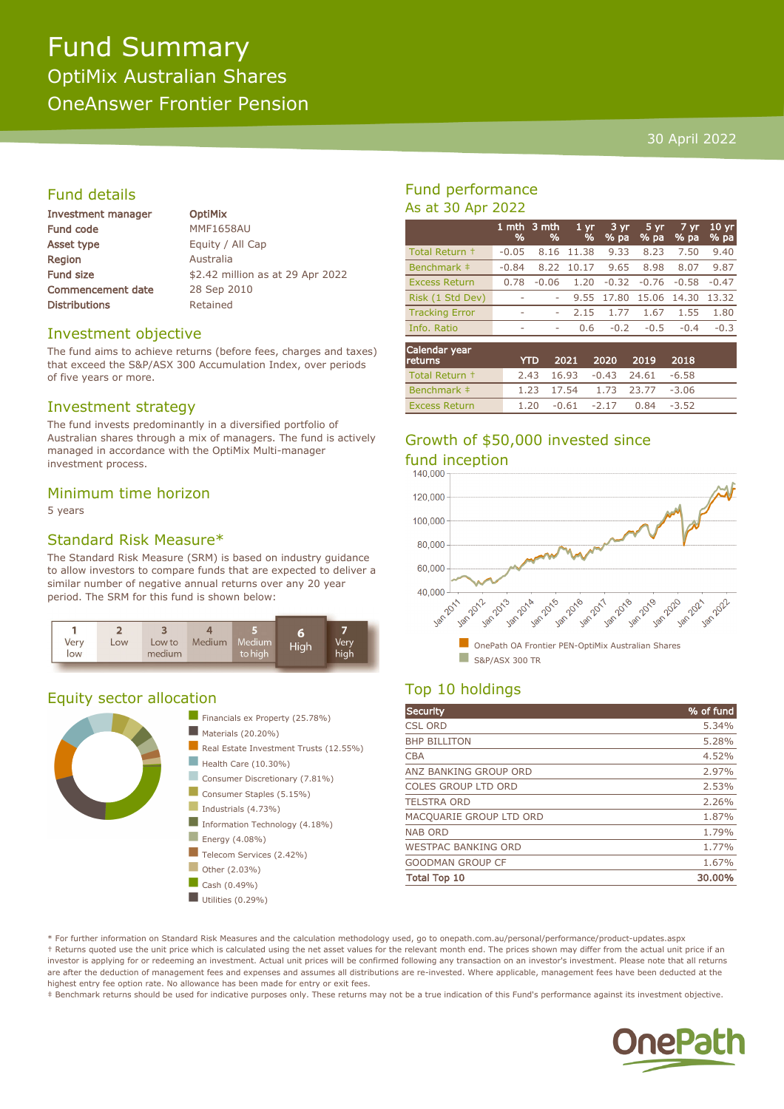# Fund Summary OptiMix Australian Shares OneAnswer Frontier Pension

#### 30 April 2022

### Fund details

| <b>Investment manager</b> |
|---------------------------|
| <b>Fund code</b>          |
| <b>Asset type</b>         |
| Region                    |
| <b>Fund size</b>          |
| <b>Commencement date</b>  |
| <b>Distributions</b>      |

**OptiMix MMF1658AU** Equity / All Cap **Australia** \$2.42 million as at 29 Apr 2022 28 Sep 2010 Retained

#### Investment objective

The fund aims to achieve returns (before fees, charges and taxes) that exceed the S&P/ASX 300 Accumulation Index, over periods of five years or more.

#### Investment strategy

The fund invests predominantly in a diversified portfolio of Australian shares through a mix of managers. The fund is actively managed in accordance with the OptiMix Multi-manager investment process.

#### Minimum time horizon

5 years

#### Standard Risk Measure\*

The Standard Risk Measure (SRM) is based on industry guidance to allow investors to compare funds that are expected to deliver a similar number of negative annual returns over any 20 year period. The SRM for this fund is shown below:



#### Equity sector allocation



### Fund performance As at 30 Apr 2022

|                       | %       | 1 mth $3$ mth<br>% | 1 <sub>vr</sub><br>% | 3 yr<br>$%$ pa | 5 yr<br>% pa | 7 yr<br>% pa | 10 <sub>yr</sub><br>% pa |
|-----------------------|---------|--------------------|----------------------|----------------|--------------|--------------|--------------------------|
| Total Return +        | $-0.05$ | 8.16               | 11.38                | 9.33           | 8.23         | 7.50         | 9.40                     |
| Benchmark ‡           | $-0.84$ | 8.22               | 10.17                | 9.65           | 8.98         | 8.07         | 9.87                     |
| <b>Excess Return</b>  | 0.78    | $-0.06$            | 1.20                 | $-0.32$        | $-0.76$      | $-0.58$      | $-0.47$                  |
| Risk (1 Std Dev)      |         |                    |                      | 9.55 17.80     | 15.06 14.30  |              | 13.32                    |
| <b>Tracking Error</b> | ۰       |                    | 2.15                 | 1.77           | 1.67         | 1.55         | 1.80                     |
| Info. Ratio           | ۰       | ۰                  | 0.6                  | $-0.2$         | $-0.5$       | $-0.4$       | $-0.3$                   |
|                       |         |                    |                      |                |              |              |                          |
| ---                   |         |                    |                      |                |              |              |                          |

| Calendar year<br>returns | YTD. |  | 2021 2020 2019 2018           |  |
|--------------------------|------|--|-------------------------------|--|
| Total Return +           |      |  | 2.43 16.93 -0.43 24.61 -6.58  |  |
| Benchmark #              |      |  | 1.23 17.54 1.73 23.77 -3.06   |  |
| <b>Excess Return</b>     |      |  | $1.20 -0.61 -2.17 0.84 -3.52$ |  |

# Growth of \$50,000 invested since fund inception<br>140.000



## Top 10 holdings

| Security                   | % of fund |
|----------------------------|-----------|
| <b>CSL ORD</b>             | 5.34%     |
| <b>BHP BILLITON</b>        | 5.28%     |
| <b>CBA</b>                 | 4.52%     |
| ANZ BANKING GROUP ORD      | 2.97%     |
| <b>COLES GROUP LTD ORD</b> | 2.53%     |
| <b>TELSTRA ORD</b>         | 2.26%     |
| MACQUARIE GROUP LTD ORD    | 1.87%     |
| <b>NAB ORD</b>             | 1.79%     |
| <b>WESTPAC BANKING ORD</b> | 1.77%     |
| <b>GOODMAN GROUP CF</b>    | 1.67%     |
| <b>Total Top 10</b>        | 30.00%    |

\* For further information on Standard Risk Measures and the calculation methodology used, go to onepath.com.au/personal/performance/product-updates.aspx † Returns quoted use the unit price which is calculated using the net asset values for the relevant month end. The prices shown may differ from the actual unit price if an investor is applying for or redeeming an investment. Actual unit prices will be confirmed following any transaction on an investor's investment. Please note that all returns are after the deduction of management fees and expenses and assumes all distributions are re-invested. Where applicable, management fees have been deducted at the highest entry fee option rate. No allowance has been made for entry or exit fees.

‡ Benchmark returns should be used for indicative purposes only. These returns may not be a true indication of this Fund's performance against its investment objective.